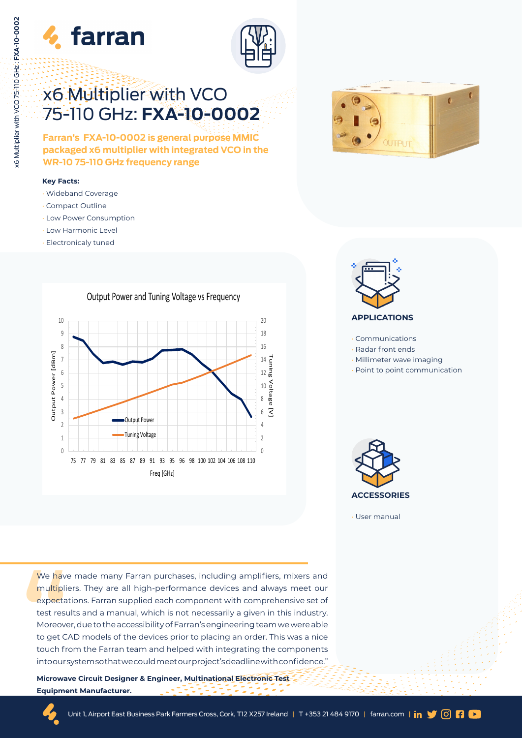



# x6 Multiplier with VCO 75-110 GHz: **FXA-10-0002**

**Farran's FXA-10-0002 is general purpose MMIC packaged x6 multiplier with integrated VCO in the WR-10 75-110 GHz frequency range** 

#### **Key Facts:**

- Wideband Coverage
- Compact Outline
- Low Power Consumption
- Low Harmonic Level
- Electronicaly tuned







- Communications
- Radar front ends
- Millimeter wave imaging
- Point to point communication



• User manual

We have<br>
multiplic<br>
expecta<br>
test resu<br>
Moreove<br>
to get C.<br>
touch fr<br>
intoours We have made many Farran purchases, including amplifiers, mixers and multipliers. They are all high-performance devices and always meet our expectations. Farran supplied each component with comprehensive set of test results and a manual, which is not necessarily a given in this industry. Moreover, due to the accessibility of Farran's engineering team we were able to get CAD models of the devices prior to placing an order. This was a nice touch from the Farran team and helped with integrating the components into our system so that we could meet our project's deadline with confidence."

**Microwave Circuit Designer & Engineer, Multinational Electronic Test Equipment Manufacturer.**